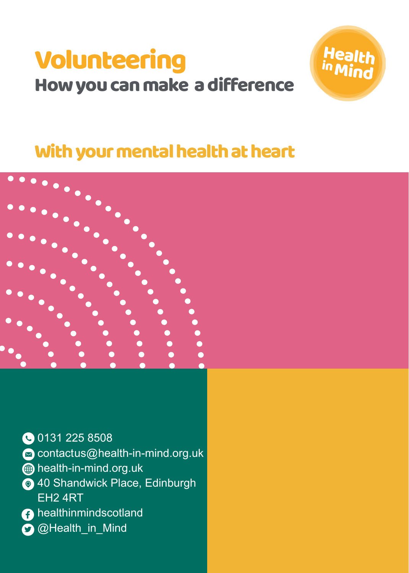# Volunteering How you can make a difference





**00131 225 8508** 

contactus@health-in-mind.org.uk

**s**health-in-mind.org.uk

- **40 Shandwick Place, Edinburgh** EH2 4RT
- **A** healthinmindscotland
- **O**@Health\_in\_Mind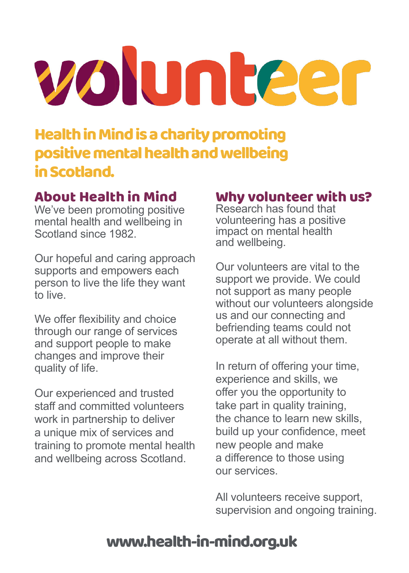# volunteer

# Health in Mind is a charity promoting positive mental health and wellbeing in Scotland.

# About Health in Mind

We've been promoting positive mental health and wellbeing in Scotland since 1982.

Our hopeful and caring approach supports and empowers each person to live the life they want to live.

We offer flexibility and choice through our range of services and support people to make changes and improve their quality of life.

Our experienced and trusted staff and committed volunteers work in partnership to deliver a unique mix of services and training to promote mental health and wellbeing across Scotland.

#### Why volunteer with us?

Research has found that volunteering has a positive impact on mental health and wellbeing.

Our volunteers are vital to the support we provide. We could not support as many people without our volunteers alongside us and our connecting and befriending teams could not operate at all without them.

In return of offering your time, experience and skills, we offer you the opportunity to take part in quality training, the chance to learn new skills, build up your confidence, meet new people and make a difference to those using our services.

All volunteers receive support, supervision and ongoing training.

# www.health-in-mind.org.uk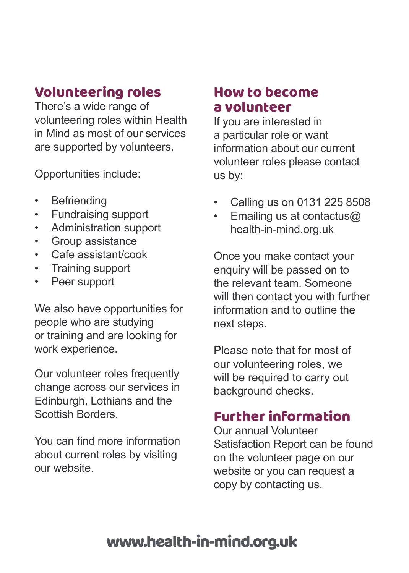# Volunteering roles

There's a wide range of volunteering roles within Health in Mind as most of our services are supported by volunteers.

Opportunities include:

- **Befriending**
- Fundraising support
- Administration support
- Group assistance
- Cafe assistant/cook
- Training support
- Peer support

We also have opportunities for people who are studying or training and are looking for work experience.

Our volunteer roles frequently change across our services in Edinburgh, Lothians and the Scottish Borders.

You can find more information about current roles by visiting our website.

# How to become a volunteer

If you are interested in a particular role or want information about our current volunteer roles please contact us by:

- Calling us on 0131 225 8508
- Emailing us at contactus@ health-in-mind.org.uk

Once you make contact your enquiry will be passed on to the relevant team. Someone will then contact you with further information and to outline the next steps.

Please note that for most of our volunteering roles, we will be required to carry out background checks.

# Further information

Our annual Volunteer Satisfaction Report can be found on the volunteer page on our website or you can request a copy by contacting us.